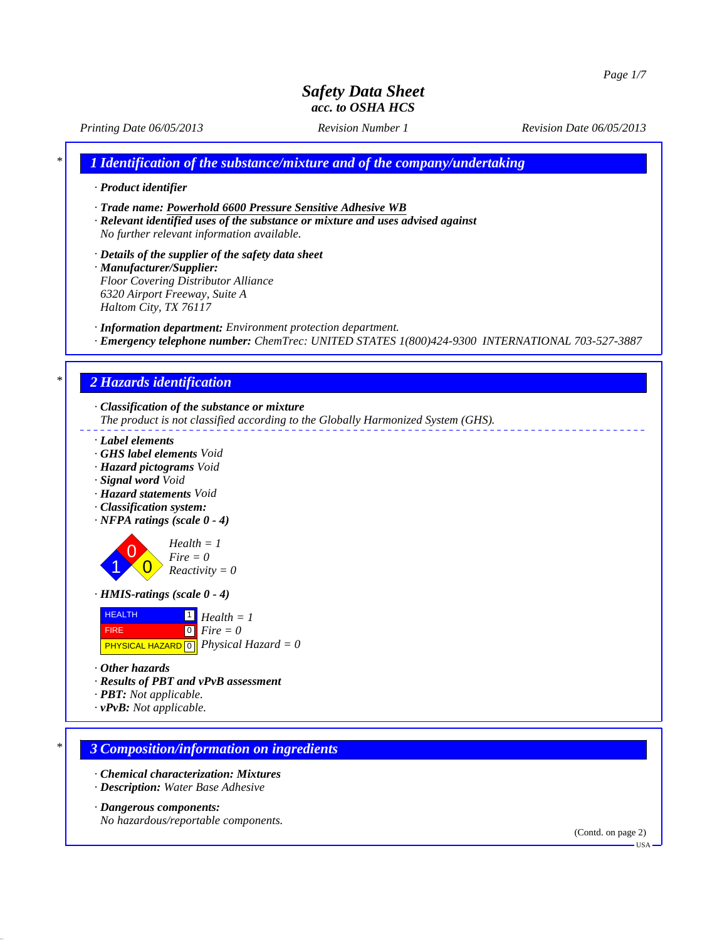*Printing Date 06/05/2013 Revision Number 1 Revision Date 06/05/2013*

*\* 1 Identification of the substance/mixture and of the company/undertaking*

- *· Product identifier*
- *· Trade name: Powerhold 6600 Pressure Sensitive Adhesive WB*
- *· Relevant identified uses of the substance or mixture and uses advised against No further relevant information available.*
- *· Details of the supplier of the safety data sheet · Manufacturer/Supplier: Floor Covering Distributor Alliance 6320 Airport Freeway, Suite A*

*Haltom City, TX 76117*

*· Information department: Environment protection department.*

*· Emergency telephone number: ChemTrec: UNITED STATES 1(800)424-9300 INTERNATIONAL 703-527-3887*

# *\* 2 Hazards identification*

- *· Classification of the substance or mixture The product is not classified according to the Globally Harmonized System (GHS).*
- 
- *· Label elements*
- *· GHS label elements Void*
- *· Hazard pictograms Void*
- *· Signal word Void*
- *· Hazard statements Void*
- *· Classification system:*
- *· NFPA ratings (scale 0 4)*



*Reactivity = 0*

*· HMIS-ratings (scale 0 - 4)*



*· Other hazards*

- *· Results of PBT and vPvB assessment*
- *· PBT: Not applicable.*
- *· vPvB: Not applicable.*

#### *\* 3 Composition/information on ingredients*

- *· Chemical characterization: Mixtures*
- *· Description: Water Base Adhesive*

#### *· Dangerous components:*

*No hazardous/reportable components.*

(Contd. on page 2)

 $-<sup>T</sup>S<sub>A</sub>$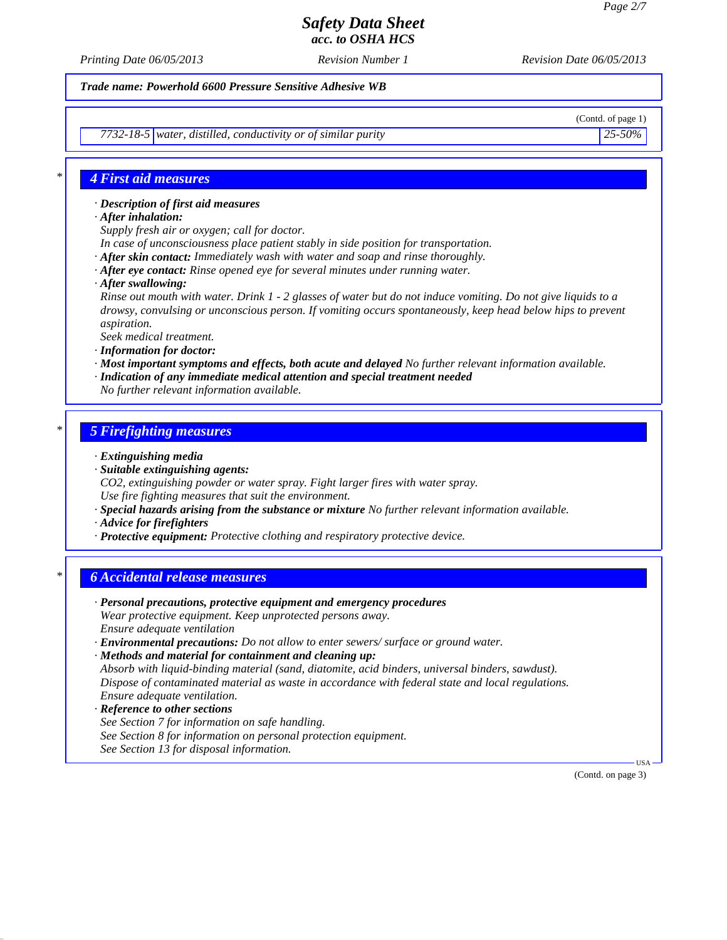*Printing Date 06/05/2013 Revision Number 1 Revision Date 06/05/2013*

*Trade name: Powerhold 6600 Pressure Sensitive Adhesive WB*

*7732-18-5 water, distilled, conductivity or of similar purity 25-50%*

(Contd. of page 1)

### *\* 4 First aid measures*

*· Description of first aid measures*

- *· After inhalation:*
- *Supply fresh air or oxygen; call for doctor.*
- *In case of unconsciousness place patient stably in side position for transportation.*
- *· After skin contact: Immediately wash with water and soap and rinse thoroughly.*
- *· After eye contact: Rinse opened eye for several minutes under running water.*
- *· After swallowing:*

*Rinse out mouth with water. Drink 1 - 2 glasses of water but do not induce vomiting. Do not give liquids to a drowsy, convulsing or unconscious person. If vomiting occurs spontaneously, keep head below hips to prevent aspiration.*

*Seek medical treatment.*

- *· Information for doctor:*
- *· Most important symptoms and effects, both acute and delayed No further relevant information available.*
- *· Indication of any immediate medical attention and special treatment needed*
- *No further relevant information available.*

#### *\* 5 Firefighting measures*

- *· Extinguishing media*
- *· Suitable extinguishing agents:*
- *CO2, extinguishing powder or water spray. Fight larger fires with water spray. Use fire fighting measures that suit the environment.*
- *· Special hazards arising from the substance or mixture No further relevant information available.*
- *· Advice for firefighters*
- *· Protective equipment: Protective clothing and respiratory protective device.*

### *\* 6 Accidental release measures*

- *· Personal precautions, protective equipment and emergency procedures Wear protective equipment. Keep unprotected persons away. Ensure adequate ventilation · Environmental precautions: Do not allow to enter sewers/ surface or ground water.*
- *· Methods and material for containment and cleaning up: Absorb with liquid-binding material (sand, diatomite, acid binders, universal binders, sawdust). Dispose of contaminated material as waste in accordance with federal state and local regulations.*
- *Ensure adequate ventilation.*
- *· Reference to other sections See Section 7 for information on safe handling. See Section 8 for information on personal protection equipment. See Section 13 for disposal information.*

(Contd. on page 3)

USA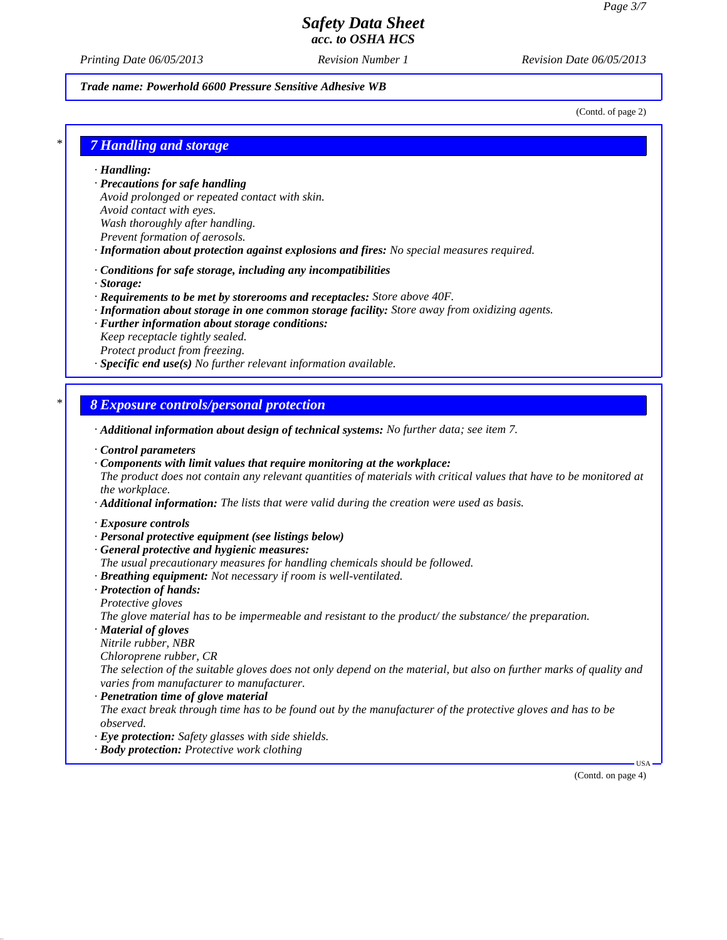*Printing Date 06/05/2013 Revision Number 1 Revision Date 06/05/2013*

#### *Trade name: Powerhold 6600 Pressure Sensitive Adhesive WB*

(Contd. of page 2)

#### *\* 7 Handling and storage*

*· Handling:*

- *· Precautions for safe handling Avoid prolonged or repeated contact with skin. Avoid contact with eyes. Wash thoroughly after handling.*
- *Prevent formation of aerosols.*
- *· Information about protection against explosions and fires: No special measures required.*
- *· Conditions for safe storage, including any incompatibilities*
- *· Storage:*
- *· Requirements to be met by storerooms and receptacles: Store above 40F.*
- *· Information about storage in one common storage facility: Store away from oxidizing agents.*
- *· Further information about storage conditions:*

*Keep receptacle tightly sealed. Protect product from freezing.*

*· Specific end use(s) No further relevant information available.*

#### *\* 8 Exposure controls/personal protection*

- *· Additional information about design of technical systems: No further data; see item 7.*
- *· Control parameters*
- *· Components with limit values that require monitoring at the workplace: The product does not contain any relevant quantities of materials with critical values that have to be monitored at the workplace.*
- *· Additional information: The lists that were valid during the creation were used as basis.*
- *· Exposure controls*
- *· Personal protective equipment (see listings below)*
- *· General protective and hygienic measures:*
- *The usual precautionary measures for handling chemicals should be followed.*
- *· Breathing equipment: Not necessary if room is well-ventilated.*
- *· Protection of hands:*
- *Protective gloves*

*The glove material has to be impermeable and resistant to the product/ the substance/ the preparation.*

*· Material of gloves*

*Nitrile rubber, NBR*

*Chloroprene rubber, CR*

*The selection of the suitable gloves does not only depend on the material, but also on further marks of quality and varies from manufacturer to manufacturer.*

*· Penetration time of glove material*

*The exact break through time has to be found out by the manufacturer of the protective gloves and has to be observed.*

- *· Eye protection: Safety glasses with side shields.*
- *· Body protection: Protective work clothing*

(Contd. on page 4)

USA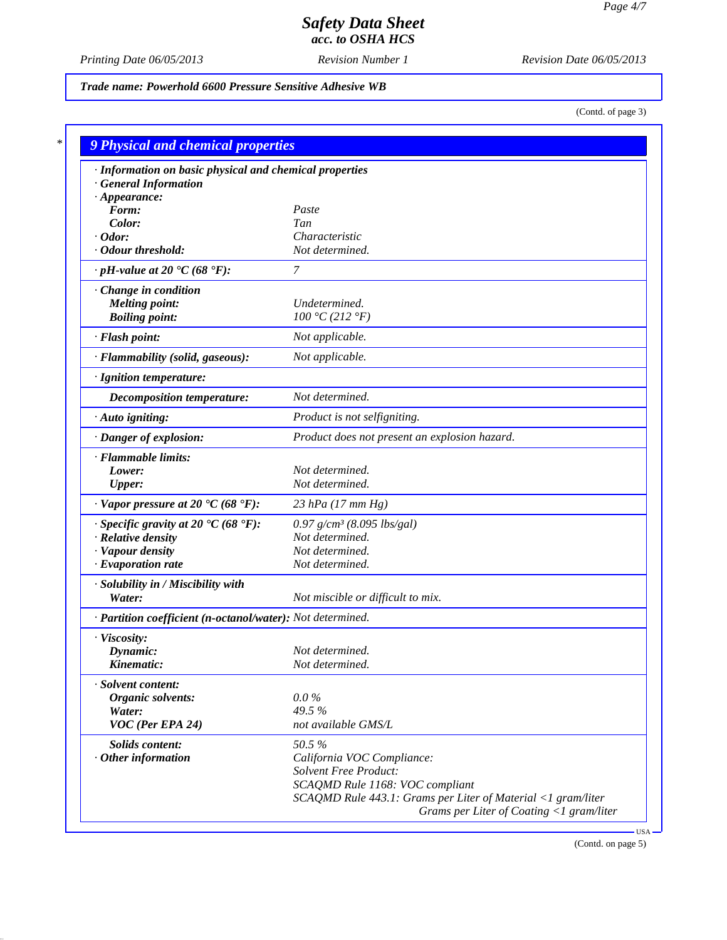*Printing Date 06/05/2013 Revision Number 1 Revision Date 06/05/2013*

*Trade name: Powerhold 6600 Pressure Sensitive Adhesive WB*

(Contd. of page 3)

| · Information on basic physical and chemical properties      |                                                              |
|--------------------------------------------------------------|--------------------------------------------------------------|
| <b>General Information</b>                                   |                                                              |
| $\cdot$ Appearance:                                          |                                                              |
| Form:                                                        | Paste                                                        |
| Color:                                                       | Tan<br>Characteristic                                        |
| $\cdot$ Odor:<br>· Odour threshold:                          | Not determined.                                              |
| $\cdot$ pH-value at 20 $\textdegree$ C (68 $\textdegree$ F): | 7                                                            |
| Change in condition                                          |                                                              |
| <b>Melting point:</b>                                        | Undetermined.                                                |
| <b>Boiling point:</b>                                        | 100 °C (212 °F)                                              |
| · Flash point:                                               | Not applicable.                                              |
| · Flammability (solid, gaseous):                             | Not applicable.                                              |
| · Ignition temperature:                                      |                                                              |
| Decomposition temperature:                                   | Not determined.                                              |
| · Auto igniting:                                             | Product is not selfigniting.                                 |
| · Danger of explosion:                                       | Product does not present an explosion hazard.                |
| · Flammable limits:                                          |                                                              |
| Lower:                                                       | Not determined.                                              |
| <b>Upper:</b>                                                | Not determined.                                              |
| $\cdot$ Vapor pressure at 20 $\cdot$ C (68 $\cdot$ F):       | 23 hPa $(17 \, \text{mm Hg})$                                |
| $\cdot$ Specific gravity at 20 °C (68 °F):                   | $0.97$ g/cm <sup>3</sup> (8.095 lbs/gal)                     |
| · Relative density                                           | Not determined.                                              |
| · Vapour density                                             | Not determined.                                              |
| $\cdot$ Evaporation rate                                     | Not determined.                                              |
| · Solubility in / Miscibility with                           |                                                              |
| Water:                                                       | Not miscible or difficult to mix.                            |
| · Partition coefficient (n-octanol/water): Not determined.   |                                                              |
| · Viscosity:                                                 |                                                              |
| Dynamic:                                                     | Not determined.                                              |
| Kinematic:                                                   | Not determined.                                              |
| · Solvent content:                                           |                                                              |
| Organic solvents:                                            | $0.0\%$                                                      |
| Water:                                                       | 49.5%                                                        |
| VOC (Per EPA 24)                                             | not available GMS/L                                          |
| Solids content:                                              | 50.5%                                                        |
| $\cdot$ Other information                                    | California VOC Compliance:                                   |
|                                                              | <b>Solvent Free Product:</b>                                 |
|                                                              | SCAQMD Rule 1168: VOC compliant                              |
|                                                              | SCAQMD Rule 443.1: Grams per Liter of Material <1 gram/liter |

(Contd. on page 5)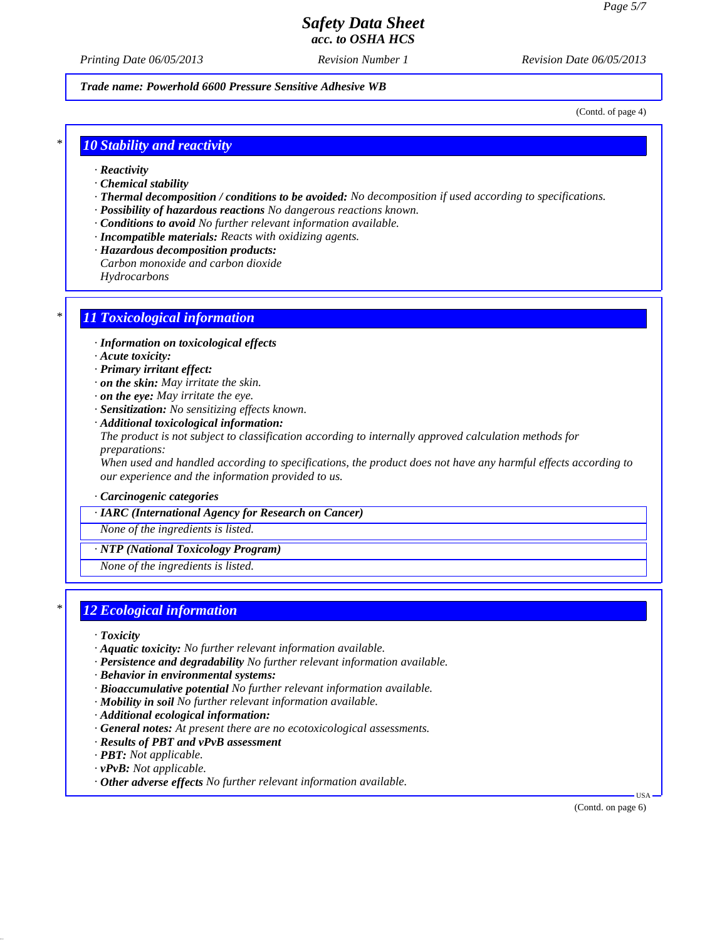*Printing Date 06/05/2013 Revision Number 1 Revision Date 06/05/2013*

*Trade name: Powerhold 6600 Pressure Sensitive Adhesive WB*

(Contd. of page 4)

#### *\* 10 Stability and reactivity*

- *· Reactivity*
- *· Chemical stability*
- *· Thermal decomposition / conditions to be avoided: No decomposition if used according to specifications.*
- *· Possibility of hazardous reactions No dangerous reactions known.*
- *· Conditions to avoid No further relevant information available.*
- *· Incompatible materials: Reacts with oxidizing agents.*
- *· Hazardous decomposition products:*
- *Carbon monoxide and carbon dioxide*

*Hydrocarbons*

### *\* 11 Toxicological information*

- *· Information on toxicological effects*
- *· Acute toxicity:*
- *· Primary irritant effect:*
- *· on the skin: May irritate the skin.*
- *· on the eye: May irritate the eye.*
- *· Sensitization: No sensitizing effects known.*
- *· Additional toxicological information:*

*The product is not subject to classification according to internally approved calculation methods for preparations:*

*When used and handled according to specifications, the product does not have any harmful effects according to our experience and the information provided to us.*

*· Carcinogenic categories*

#### *· IARC (International Agency for Research on Cancer)*

*None of the ingredients is listed.*

*· NTP (National Toxicology Program)*

*None of the ingredients is listed.*

### *\* 12 Ecological information*

- *· Toxicity*
- *· Aquatic toxicity: No further relevant information available.*
- *· Persistence and degradability No further relevant information available.*
- *· Behavior in environmental systems:*
- *· Bioaccumulative potential No further relevant information available.*
- *· Mobility in soil No further relevant information available.*
- *· Additional ecological information:*
- *· General notes: At present there are no ecotoxicological assessments.*
- *· Results of PBT and vPvB assessment*
- *· PBT: Not applicable.*
- *· vPvB: Not applicable.*
- *· Other adverse effects No further relevant information available.*

(Contd. on page 6)

USA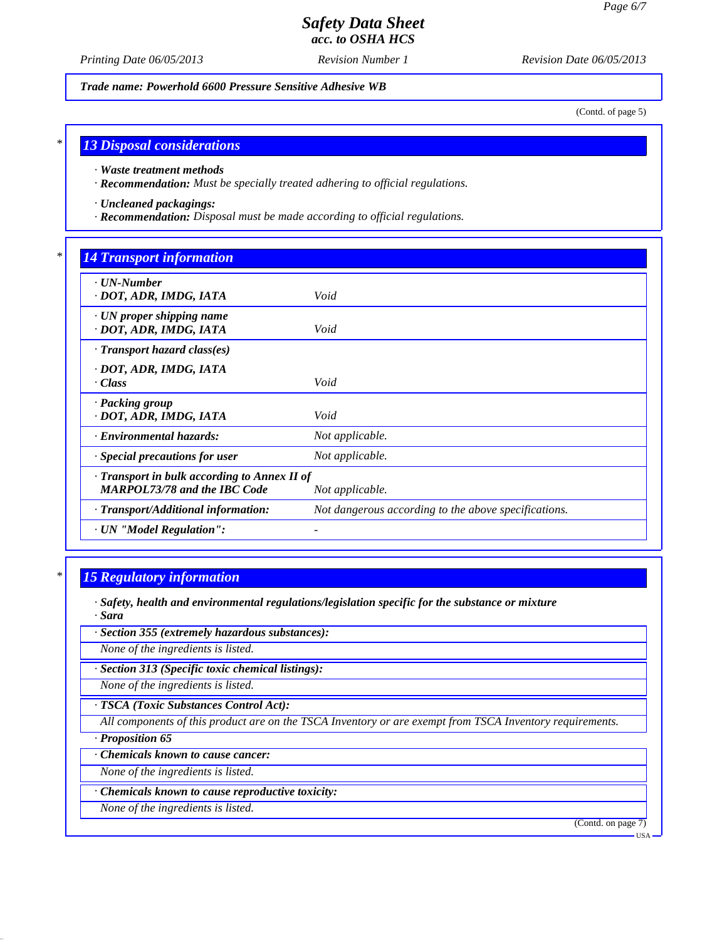*Printing Date 06/05/2013 Revision Number 1 Revision Date 06/05/2013*

*Trade name: Powerhold 6600 Pressure Sensitive Adhesive WB*

(Contd. of page 5)

#### *\* 13 Disposal considerations*

*· Waste treatment methods*

*· Recommendation: Must be specially treated adhering to official regulations.*

*· Uncleaned packagings:*

*· Recommendation: Disposal must be made according to official regulations.*

### *\* 14 Transport information*

| $\cdot$ UN-Number<br>· DOT, ADR, IMDG, IATA               | Void                                                 |  |
|-----------------------------------------------------------|------------------------------------------------------|--|
|                                                           |                                                      |  |
| $\cdot$ UN proper shipping name<br>· DOT, ADR, IMDG, IATA | Void                                                 |  |
| $\cdot$ Transport hazard class(es)                        |                                                      |  |
| · DOT, ADR, IMDG, IATA                                    |                                                      |  |
| · Class                                                   | Void                                                 |  |
| · Packing group                                           |                                                      |  |
| · DOT, ADR, IMDG, IATA                                    | Void                                                 |  |
| <b>Environmental hazards:</b>                             | Not applicable.                                      |  |
| Special precautions for user                              | Not applicable.                                      |  |
| · Transport in bulk according to Annex II of              |                                                      |  |
| <b>MARPOL73/78 and the IBC Code</b>                       | Not applicable.                                      |  |
| · Transport/Additional information:                       | Not dangerous according to the above specifications. |  |
| · UN "Model Regulation":                                  |                                                      |  |

### *\* 15 Regulatory information*

- *· Safety, health and environmental regulations/legislation specific for the substance or mixture · Sara*
- *· Section 355 (extremely hazardous substances):*

*None of the ingredients is listed.*

*· Section 313 (Specific toxic chemical listings):*

*None of the ingredients is listed.*

*· TSCA (Toxic Substances Control Act):*

*All components of this product are on the TSCA Inventory or are exempt from TSCA Inventory requirements.*

*· Proposition 65*

*· Chemicals known to cause cancer:*

*None of the ingredients is listed.*

*· Chemicals known to cause reproductive toxicity:*

*None of the ingredients is listed.*

(Contd. on page 7)

USA